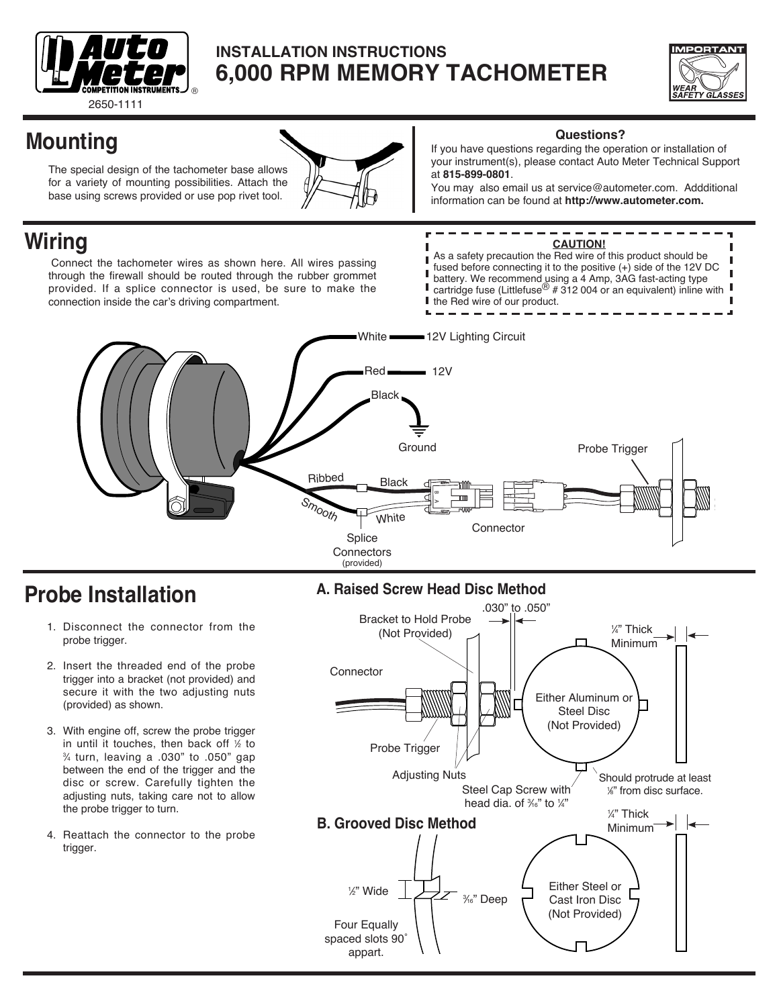

## **INSTALLATION INSTRUCTIONS 6,000 RPM Memory Tachometer**



# **Mounting**

The special design of the tachometer base allows for a variety of mounting possibilities. Attach the base using screws provided or use pop rivet tool.



#### **Questions?**

If you have questions regarding the operation or installation of your instrument(s), please contact Auto Meter Technical Support at **815-899-0801**.

You may also email us at service@autometer.com. Addditional information can be found at **http://www.autometer.com.**

## **Wiring**

Connect the tachometer wires as shown here. All wires passing through the firewall should be routed through the rubber grommet provided. If a splice connector is used, be sure to make the connection inside the car's driving compartment.

#### **CAUTION!**

As a safety precaution the Red wire of this product should be Г fused before connecting it to the positive (+) side of the 12V DC I battery. We recommend using a 4 Amp, 3AG fast-acting type cartridge fuse (Littlefuse<sup>®</sup> # 312 004 or an equivalent) inline with ı I the Red wire of our product.



## **Probe Installation**

- 1. Disconnect the connector from the probe trigger.
- 2. Insert the threaded end of the probe trigger into a bracket (not provided) and secure it with the two adjusting nuts (provided) as shown.
- 3. With engine off, screw the probe trigger in until it touches, then back off  $1/2$  to in until it touches, then back off ½ to<br>¾ turn, leaving a .030" to .050" gap between the end of the trigger and the disc or screw. Carefully tighten the adjusting nuts, taking care not to allow the probe trigger to turn.
- 4. Reattach the connector to the probe trigger.

## **A. Raised Screw Head Disc Method**